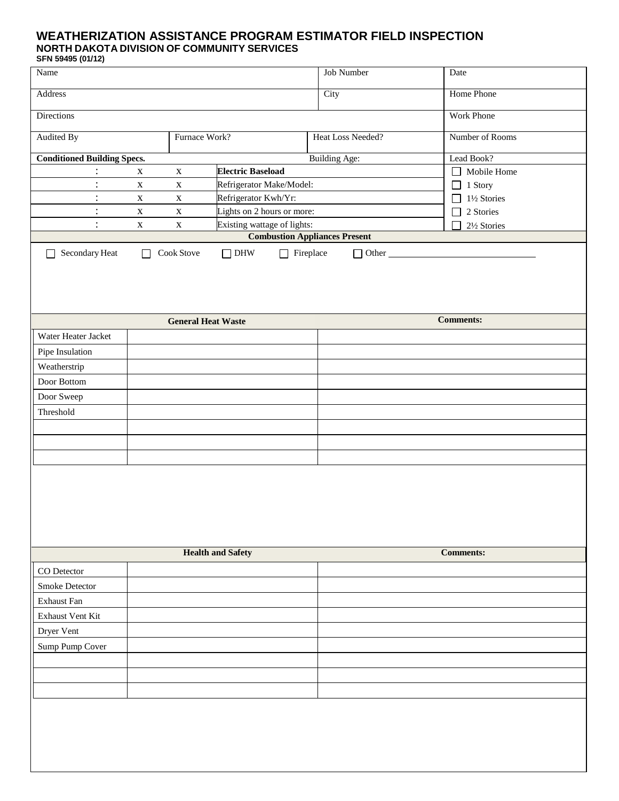## **WEATHERIZATION ASSISTANCE PROGRAM ESTIMATOR FIELD INSPECTION NORTH DAKOTA DIVISION OF COMMUNITY SERVICES**

**SFN 59495 (01/12)**

| Name                                                                        |                                                          |                           |                          |                  | Job Number           | Date                  |  |  |
|-----------------------------------------------------------------------------|----------------------------------------------------------|---------------------------|--------------------------|------------------|----------------------|-----------------------|--|--|
| Address                                                                     |                                                          |                           |                          |                  | City                 | Home Phone            |  |  |
| Directions                                                                  |                                                          |                           |                          |                  |                      | <b>Work Phone</b>     |  |  |
| <b>Audited By</b><br>Furnace Work?                                          |                                                          |                           | Heat Loss Needed?        | Number of Rooms  |                      |                       |  |  |
| <b>Conditioned Building Specs.</b>                                          |                                                          |                           |                          |                  | <b>Building Age:</b> | Lead Book?            |  |  |
| $\ddot{\cdot}$                                                              | <b>Electric Baseload</b><br>$\mathbf X$<br>$\mathbf X$   |                           |                          |                  |                      | Mobile Home<br>$\Box$ |  |  |
| $\vdots$                                                                    | Refrigerator Make/Model:<br>$\mathbf X$<br>$\mathbf X$   |                           |                          |                  |                      | $\Box$ 1 Story        |  |  |
| $\vdots$                                                                    | Refrigerator Kwh/Yr:<br>$\mathbf X$<br>$\mathbf X$       |                           |                          |                  |                      | 1½ Stories            |  |  |
| $\ddot{\cdot}$                                                              | Lights on 2 hours or more:<br>$\mathbf X$<br>$\mathbf X$ |                           |                          |                  | 2 Stories<br>$\Box$  |                       |  |  |
| $\ddot{\cdot}$<br>Existing wattage of lights:<br>$\mathbf X$<br>$\mathbf X$ |                                                          |                           |                          |                  | 21/2 Stories         |                       |  |  |
| <b>Combustion Appliances Present</b>                                        |                                                          |                           |                          |                  |                      |                       |  |  |
| Secondary Heat<br>$\mathbf{I}$                                              | П                                                        | Cook Stove                | $\Box$ DHW               | $\Box$ Fireplace | $\Box$ Other $\Box$  |                       |  |  |
|                                                                             |                                                          | <b>General Heat Waste</b> |                          |                  |                      | <b>Comments:</b>      |  |  |
| Water Heater Jacket                                                         |                                                          |                           |                          |                  |                      |                       |  |  |
| Pipe Insulation                                                             |                                                          |                           |                          |                  |                      |                       |  |  |
| Weatherstrip                                                                |                                                          |                           |                          |                  |                      |                       |  |  |
| Door Bottom                                                                 |                                                          |                           |                          |                  |                      |                       |  |  |
| Door Sweep                                                                  |                                                          |                           |                          |                  |                      |                       |  |  |
| Threshold                                                                   |                                                          |                           |                          |                  |                      |                       |  |  |
|                                                                             |                                                          |                           |                          |                  |                      |                       |  |  |
|                                                                             |                                                          |                           |                          |                  |                      |                       |  |  |
|                                                                             |                                                          |                           |                          |                  |                      |                       |  |  |
|                                                                             |                                                          |                           |                          |                  |                      |                       |  |  |
|                                                                             |                                                          |                           |                          |                  |                      |                       |  |  |
|                                                                             |                                                          |                           |                          |                  |                      |                       |  |  |
|                                                                             |                                                          |                           | <b>Health and Safety</b> |                  |                      | <b>Comments:</b>      |  |  |
| CO Detector                                                                 |                                                          |                           |                          |                  |                      |                       |  |  |
| Smoke Detector                                                              |                                                          |                           |                          |                  |                      |                       |  |  |
| Exhaust Fan                                                                 |                                                          |                           |                          |                  |                      |                       |  |  |
| Exhaust Vent Kit                                                            |                                                          |                           |                          |                  |                      |                       |  |  |
| Dryer Vent                                                                  |                                                          |                           |                          |                  |                      |                       |  |  |
| Sump Pump Cover                                                             |                                                          |                           |                          |                  |                      |                       |  |  |
|                                                                             |                                                          |                           |                          |                  |                      |                       |  |  |
|                                                                             |                                                          |                           |                          |                  |                      |                       |  |  |
|                                                                             |                                                          |                           |                          |                  |                      |                       |  |  |
|                                                                             |                                                          |                           |                          |                  |                      |                       |  |  |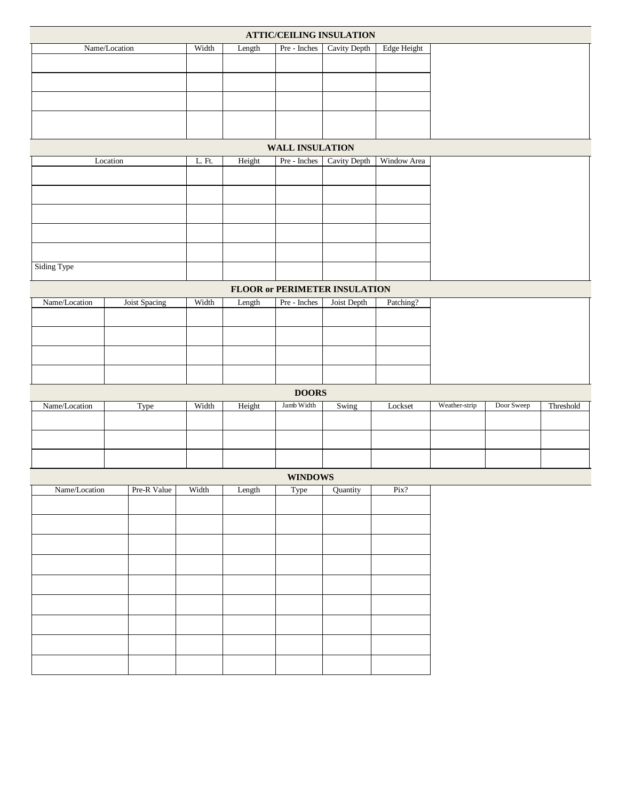| <b>ATTIC/CEILING INSULATION</b> |               |        |              |                          |                                      |             |               |            |           |
|---------------------------------|---------------|--------|--------------|--------------------------|--------------------------------------|-------------|---------------|------------|-----------|
| Name/Location                   | Width         | Length | Pre - Inches | Cavity Depth             | Edge Height                          |             |               |            |           |
|                                 |               |        |              |                          |                                      |             |               |            |           |
|                                 |               |        |              |                          |                                      |             |               |            |           |
|                                 |               |        |              |                          |                                      |             |               |            |           |
|                                 |               |        |              |                          |                                      |             |               |            |           |
|                                 |               |        |              |                          |                                      |             |               |            |           |
|                                 |               |        |              | <b>WALL INSULATION</b>   |                                      |             |               |            |           |
|                                 | Location      | L. Ft. | Height       | Pre - Inches             | Cavity Depth                         | Window Area |               |            |           |
|                                 |               |        |              |                          |                                      |             |               |            |           |
|                                 |               |        |              |                          |                                      |             |               |            |           |
|                                 |               |        |              |                          |                                      |             |               |            |           |
|                                 |               |        |              |                          |                                      |             |               |            |           |
|                                 |               |        |              |                          |                                      |             |               |            |           |
|                                 |               |        |              |                          |                                      |             |               |            |           |
| Siding Type                     |               |        |              |                          |                                      |             |               |            |           |
|                                 |               |        |              |                          | <b>FLOOR or PERIMETER INSULATION</b> |             |               |            |           |
| Name/Location                   | Joist Spacing | Width  | Length       | $\rm Pre$ - $\rm Inches$ | Joist Depth                          | Patching?   |               |            |           |
|                                 |               |        |              |                          |                                      |             |               |            |           |
|                                 |               |        |              |                          |                                      |             |               |            |           |
|                                 |               |        |              |                          |                                      |             |               |            |           |
|                                 |               |        |              |                          |                                      |             |               |            |           |
|                                 |               |        |              |                          |                                      |             |               |            |           |
|                                 |               |        |              | <b>DOORS</b>             |                                      |             |               |            |           |
| Name/Location                   | Type          | Width  | Height       | Jamb Width               | Swing                                | Lockset     | Weather-strip | Door Sweep | Threshold |
|                                 |               |        |              |                          |                                      |             |               |            |           |
|                                 |               |        |              |                          |                                      |             |               |            |           |
|                                 |               |        |              |                          |                                      |             |               |            |           |
|                                 |               |        |              | <b>WINDOWS</b>           |                                      |             |               |            |           |
| Name/Location                   | Pre-R Value   | Width  | Length       | Type                     | Quantity                             | Pix?        |               |            |           |
|                                 |               |        |              |                          |                                      |             |               |            |           |
|                                 |               |        |              |                          |                                      |             |               |            |           |
|                                 |               |        |              |                          |                                      |             |               |            |           |
|                                 |               |        |              |                          |                                      |             |               |            |           |
|                                 |               |        |              |                          |                                      |             |               |            |           |
|                                 |               |        |              |                          |                                      |             |               |            |           |
|                                 |               |        |              |                          |                                      |             |               |            |           |
|                                 |               |        |              |                          |                                      |             |               |            |           |
|                                 |               |        |              |                          |                                      |             |               |            |           |
|                                 |               |        |              |                          |                                      |             |               |            |           |
|                                 |               |        |              |                          |                                      |             |               |            |           |
|                                 |               |        |              |                          |                                      |             |               |            |           |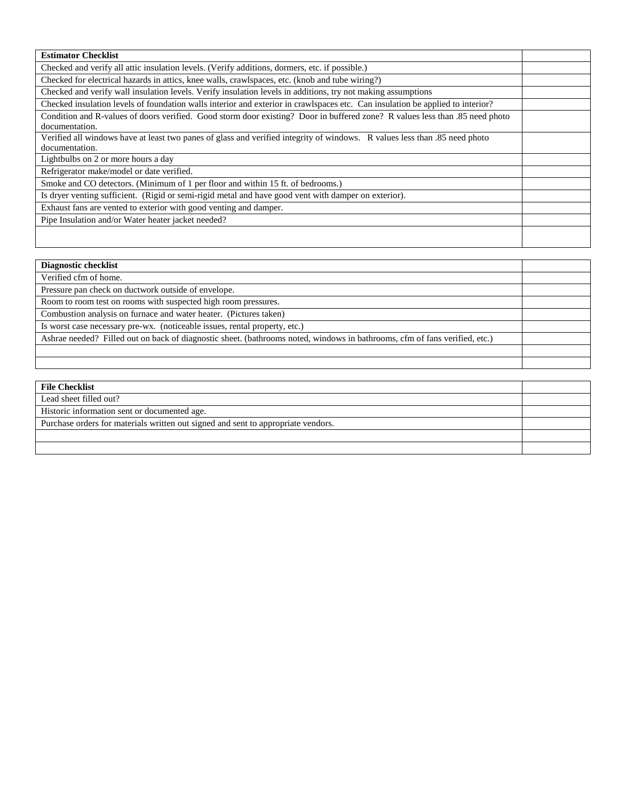| <b>Estimator Checklist</b>                                                                                                     |  |  |  |  |
|--------------------------------------------------------------------------------------------------------------------------------|--|--|--|--|
| Checked and verify all attic insulation levels. (Verify additions, dormers, etc. if possible.)                                 |  |  |  |  |
| Checked for electrical hazards in attics, knee walls, crawlspaces, etc. (knob and tube wiring?)                                |  |  |  |  |
| Checked and verify wall insulation levels. Verify insulation levels in additions, try not making assumptions                   |  |  |  |  |
| Checked insulation levels of foundation walls interior and exterior in crawlspaces etc. Can insulation be applied to interior? |  |  |  |  |
| Condition and R-values of doors verified. Good storm door existing? Door in buffered zone? R values less than .85 need photo   |  |  |  |  |
| documentation.                                                                                                                 |  |  |  |  |
| Verified all windows have at least two panes of glass and verified integrity of windows. R values less than .85 need photo     |  |  |  |  |
| documentation.                                                                                                                 |  |  |  |  |
| Lightbulbs on 2 or more hours a day                                                                                            |  |  |  |  |
| Refrigerator make/model or date verified.                                                                                      |  |  |  |  |
| Smoke and CO detectors. (Minimum of 1 per floor and within 15 ft. of bedrooms.)                                                |  |  |  |  |
| Is dryer venting sufficient. (Rigid or semi-rigid metal and have good vent with damper on exterior).                           |  |  |  |  |
| Exhaust fans are vented to exterior with good venting and damper.                                                              |  |  |  |  |
| Pipe Insulation and/or Water heater jacket needed?                                                                             |  |  |  |  |
|                                                                                                                                |  |  |  |  |
|                                                                                                                                |  |  |  |  |

| <b>Diagnostic checklist</b>                                                                                                |  |
|----------------------------------------------------------------------------------------------------------------------------|--|
| Verified cfm of home.                                                                                                      |  |
| Pressure pan check on ductwork outside of envelope.                                                                        |  |
| Room to room test on rooms with suspected high room pressures.                                                             |  |
| Combustion analysis on furnace and water heater. (Pictures taken)                                                          |  |
| Is worst case necessary pre-wx. (noticeable issues, rental property, etc.)                                                 |  |
| Ashrae needed? Filled out on back of diagnostic sheet. (bathrooms noted, windows in bathrooms, cfm of fans verified, etc.) |  |
|                                                                                                                            |  |
|                                                                                                                            |  |

| <b>File Checklist</b>                                                             |  |  |
|-----------------------------------------------------------------------------------|--|--|
| Lead sheet filled out?                                                            |  |  |
| Historic information sent or documented age.                                      |  |  |
| Purchase orders for materials written out signed and sent to appropriate vendors. |  |  |
|                                                                                   |  |  |
|                                                                                   |  |  |